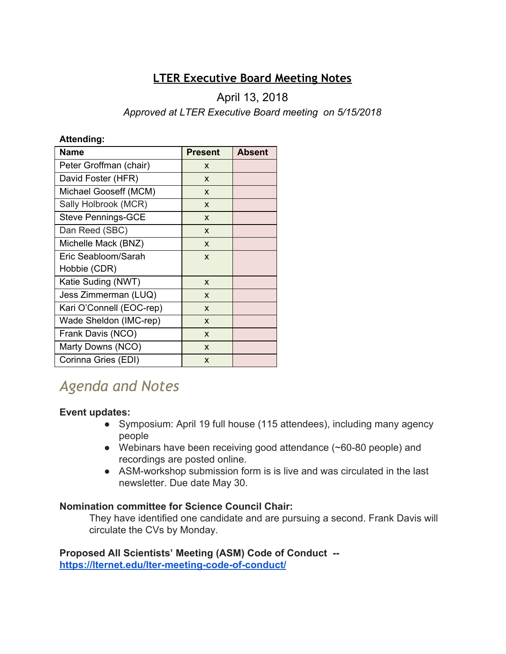# **LTER Executive Board Meeting Notes**

# April 13, 2018

# *Approved at LTER Executive Board meeting on 5/15/2018*

#### **Attending:**

| <b>Name</b>               | <b>Present</b> | <b>Absent</b> |
|---------------------------|----------------|---------------|
| Peter Groffman (chair)    | X              |               |
| David Foster (HFR)        | X              |               |
| Michael Gooseff (MCM)     | X              |               |
| Sally Holbrook (MCR)      | X              |               |
| <b>Steve Pennings-GCE</b> | X              |               |
| Dan Reed (SBC)            | X              |               |
| Michelle Mack (BNZ)       | X              |               |
| Eric Seabloom/Sarah       | X              |               |
| Hobbie (CDR)              |                |               |
| Katie Suding (NWT)        | X              |               |
| Jess Zimmerman (LUQ)      | X              |               |
| Kari O'Connell (EOC-rep)  | X              |               |
| Wade Sheldon (IMC-rep)    | X              |               |
| Frank Davis (NCO)         | X              |               |
| Marty Downs (NCO)         | X              |               |
| Corinna Gries (EDI)       | X              |               |

# *Agenda and Notes*

# **Event updates:**

- Symposium: April 19 full house (115 attendees), including many agency people
- Webinars have been receiving good attendance (~60-80 people) and recordings are posted online.
- ASM-workshop submission form is is live and was circulated in the last newsletter. Due date May 30.

# **Nomination committee for Science Council Chair:**

They have identified one candidate and are pursuing a second. Frank Davis will circulate the CVs by Monday.

**Proposed All Scientists' Meeting (ASM) Code of Conduct - <https://lternet.edu/lter-meeting-code-of-conduct/>**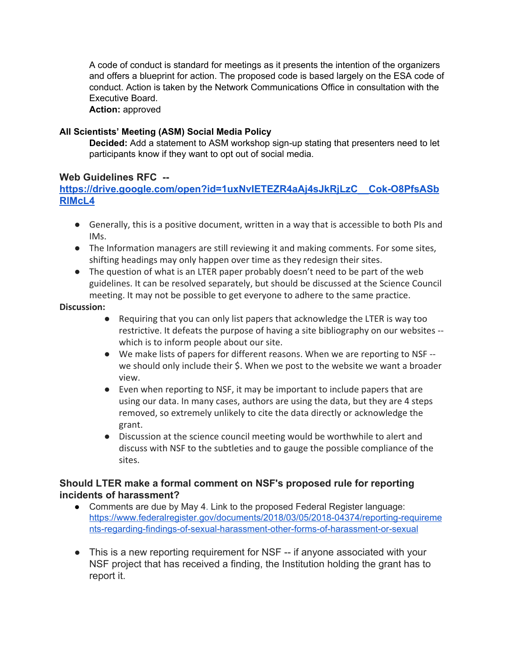A code of conduct is standard for meetings as it presents the intention of the organizers and offers a blueprint for action. The proposed code is based largely on the ESA code of conduct. Action is taken by the Network Communications Office in consultation with the Executive Board.

**Action:** approved

#### **All Scientists' Meeting (ASM) Social Media Policy**

**Decided:** Add a statement to ASM workshop sign-up stating that presenters need to let participants know if they want to opt out of social media.

#### **Web Guidelines RFC --**

## **[https://drive.google.com/open?id=1uxNvIETEZR4aAj4sJkRjLzC\\_\\_Cok-O8PfsASb](https://drive.google.com/open?id=1uxNvIETEZR4aAj4sJkRjLzC__Cok-O8PfsASbRlMcL4) [RlMcL4](https://drive.google.com/open?id=1uxNvIETEZR4aAj4sJkRjLzC__Cok-O8PfsASbRlMcL4)**

- Generally, this is a positive document, written in a way that is accessible to both PIs and IMs.
- The Information managers are still reviewing it and making comments. For some sites, shifting headings may only happen over time as they redesign their sites.
- The question of what is an LTER paper probably doesn't need to be part of the web guidelines. It can be resolved separately, but should be discussed at the Science Council meeting. It may not be possible to get everyone to adhere to the same practice.

#### **Discussion:**

- Requiring that you can only list papers that acknowledge the LTER is way too restrictive. It defeats the purpose of having a site bibliography on our websites - which is to inform people about our site.
- We make lists of papers for different reasons. When we are reporting to NSF we should only include their \$. When we post to the website we want a broader view.
- Even when reporting to NSF, it may be important to include papers that are using our data. In many cases, authors are using the data, but they are 4 steps removed, so extremely unlikely to cite the data directly or acknowledge the grant.
- Discussion at the science council meeting would be worthwhile to alert and discuss with NSF to the subtleties and to gauge the possible compliance of the sites.

## **Should LTER make a formal comment on NSF's proposed rule for reporting incidents of harassment?**

- Comments are due by May 4. Link to the proposed Federal Register language: [https://www.federalregister.gov/documents/2018/03/05/2018-04374/reporting-requireme](https://www.federalregister.gov/documents/2018/03/05/2018-04374/reporting-requirements-regarding-findings-of-sexual-harassment-other-forms-of-harassment-or-sexual) [nts-regarding-findings-of-sexual-harassment-other-forms-of-harassment-or-sexual](https://www.federalregister.gov/documents/2018/03/05/2018-04374/reporting-requirements-regarding-findings-of-sexual-harassment-other-forms-of-harassment-or-sexual)
- This is a new reporting requirement for NSF -- if anyone associated with your NSF project that has received a finding, the Institution holding the grant has to report it.